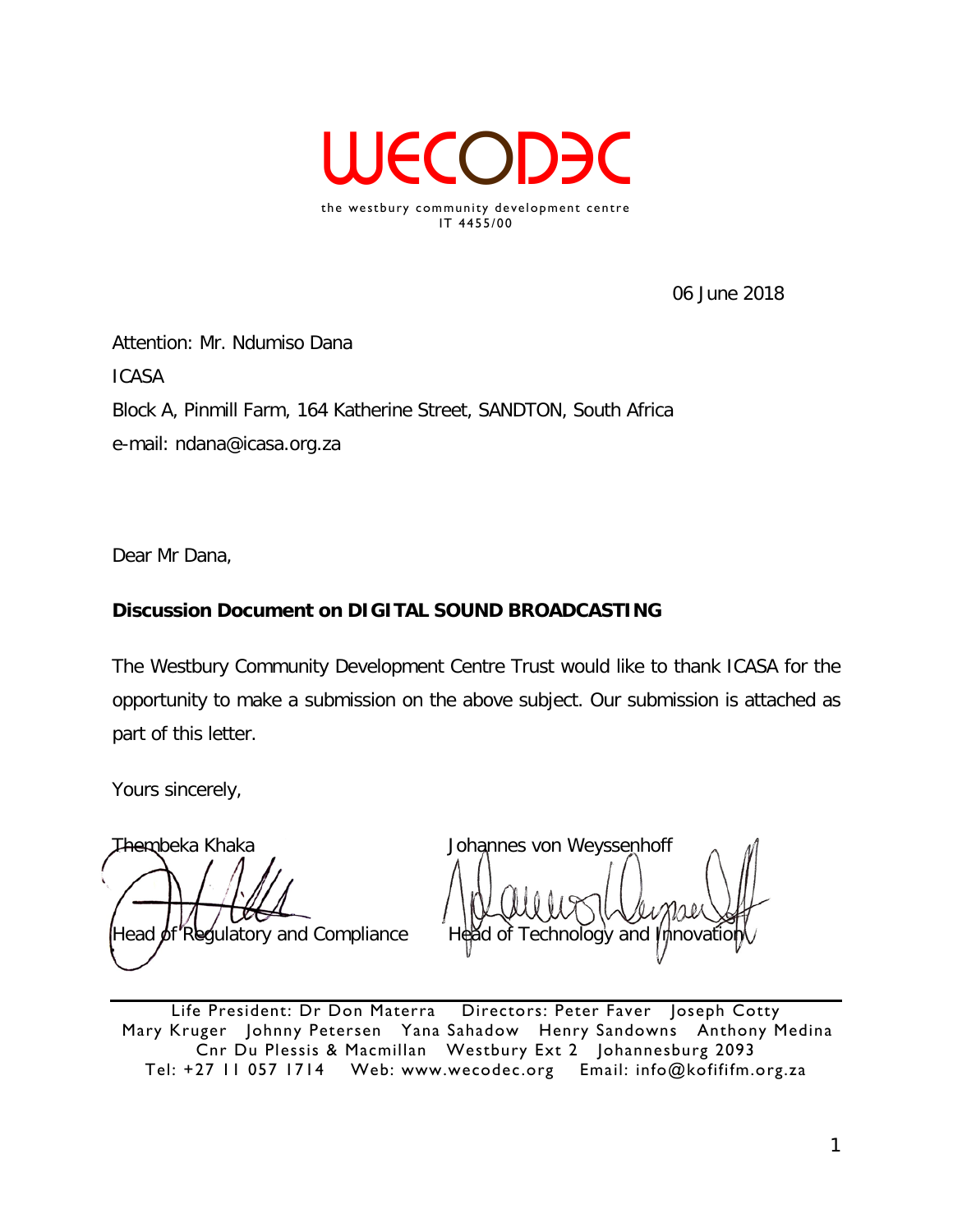

06 June 2018

Attention: Mr. Ndumiso Dana ICASA Block A, Pinmill Farm, 164 Katherine Street, SANDTON, South Africa e-mail: ndana@icasa.org.za

Dear Mr Dana,

# **Discussion Document on DIGITAL SOUND BROADCASTING**

The Westbury Community Development Centre Trust would like to thank ICASA for the opportunity to make a submission on the above subject. Our submission is attached as part of this letter.

Yours sincerely,

Thembeka Khaka Johannes von Weyssenhoff

Head of Regulatory and Compliance head of Technology and Innovation

Life President: Dr Don Materra Directors: Peter Faver Joseph Cotty Mary Kruger Johnny Petersen Yana Sahadow Henry Sandowns Anthony Medina Cnr Du Plessis & Macmillan Westbury Ext 2 Johannesburg 2093 Tel: +27 11 057 1714 Web: www.wecodec.org Email: info@kofififm.org.za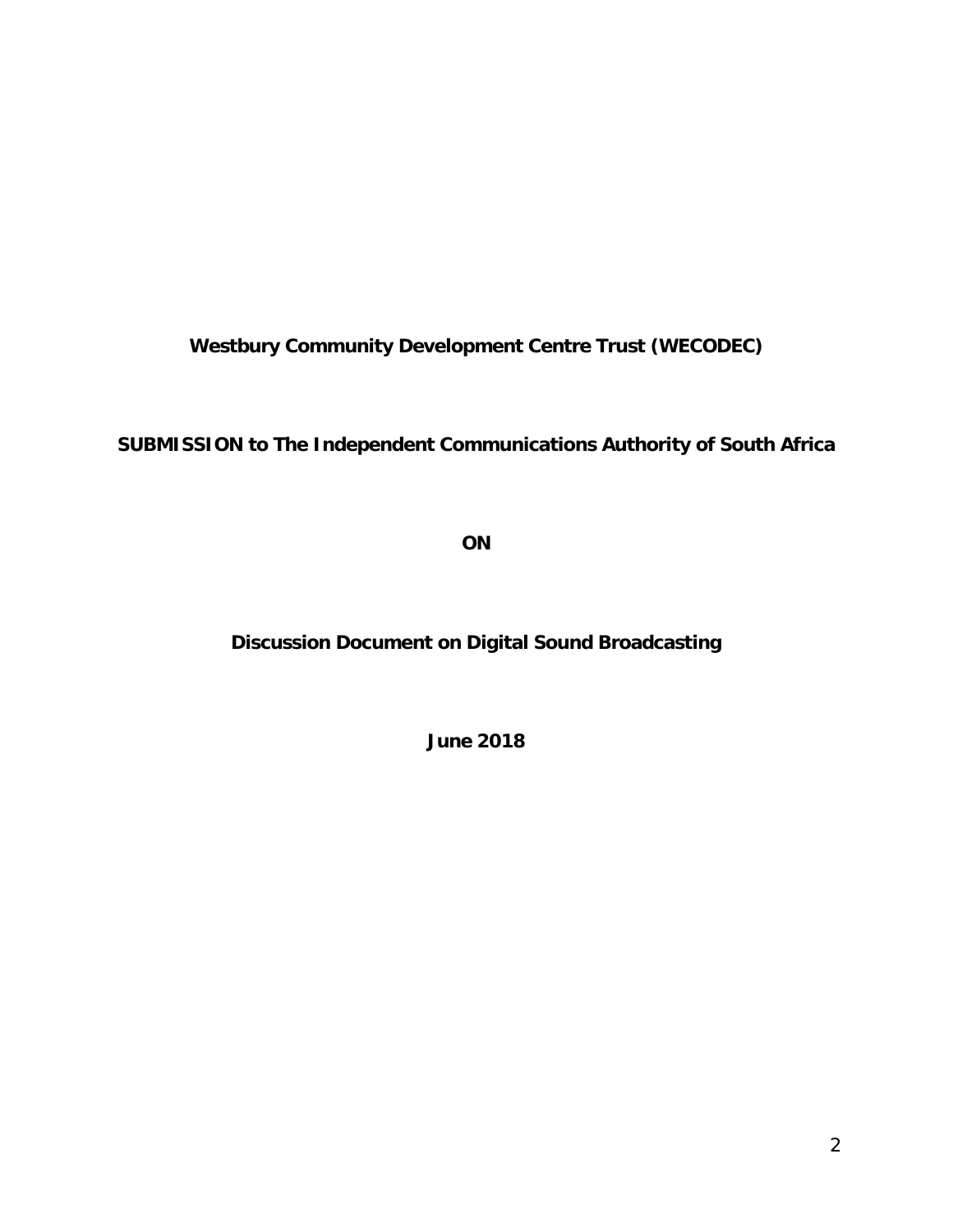**Westbury Community Development Centre Trust (WECODEC)**

**SUBMISSION to The Independent Communications Authority of South Africa**

**ON**

**Discussion Document on Digital Sound Broadcasting**

**June 2018**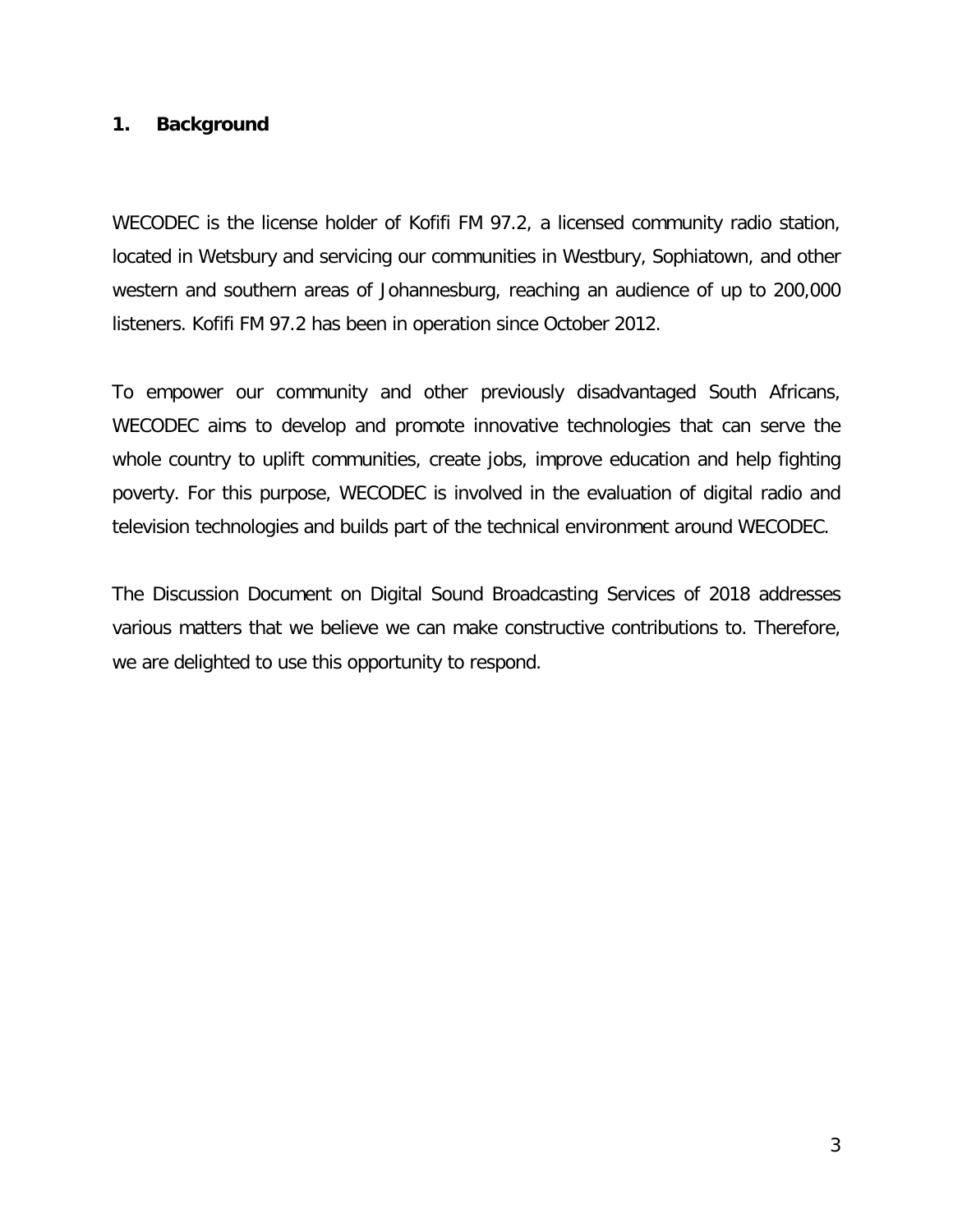## **1. Background**

WECODEC is the license holder of Kofifi FM 97.2, a licensed community radio station, located in Wetsbury and servicing our communities in Westbury, Sophiatown, and other western and southern areas of Johannesburg, reaching an audience of up to 200,000 listeners. Kofifi FM 97.2 has been in operation since October 2012.

To empower our community and other previously disadvantaged South Africans, WECODEC aims to develop and promote innovative technologies that can serve the whole country to uplift communities, create jobs, improve education and help fighting poverty. For this purpose, WECODEC is involved in the evaluation of digital radio and television technologies and builds part of the technical environment around WECODEC.

The Discussion Document on Digital Sound Broadcasting Services of 2018 addresses various matters that we believe we can make constructive contributions to. Therefore, we are delighted to use this opportunity to respond.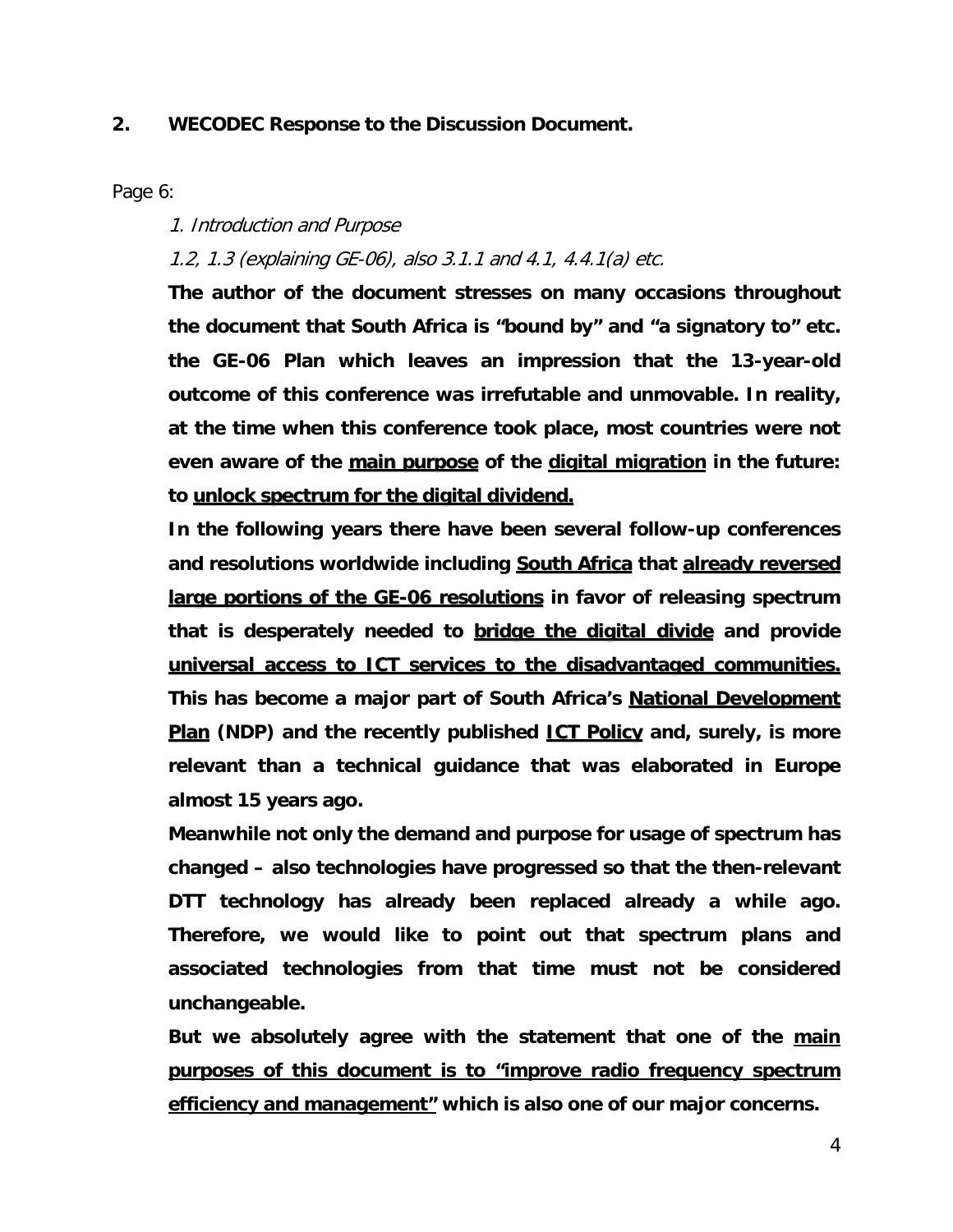## **2. WECODEC Response to the Discussion Document.**

Page 6:

1. Introduction and Purpose

1.2, 1.3 (explaining GE-06), also 3.1.1 and 4.1, 4.4.1(a) etc.

**The author of the document stresses on many occasions throughout the document that South Africa is "bound by" and "a signatory to" etc. the GE-06 Plan which leaves an impression that the 13-year-old outcome of this conference was irrefutable and unmovable. In reality, at the time when this conference took place, most countries were not even aware of the main purpose of the digital migration in the future: to unlock spectrum for the digital dividend.**

**In the following years there have been several follow-up conferences and resolutions worldwide including South Africa that already reversed large portions of the GE-06 resolutions in favor of releasing spectrum that is desperately needed to bridge the digital divide and provide universal access to ICT services to the disadvantaged communities. This has become a major part of South Africa's National Development Plan (NDP) and the recently published ICT Policy and, surely, is more relevant than a technical guidance that was elaborated in Europe almost 15 years ago.**

**Meanwhile not only the demand and purpose for usage of spectrum has changed – also technologies have progressed so that the then-relevant DTT technology has already been replaced already a while ago. Therefore, we would like to point out that spectrum plans and associated technologies from that time must not be considered unchangeable.**

**But we absolutely agree with the statement that one of the main purposes of this document is to "improve radio frequency spectrum efficiency and management" which is also one of our major concerns.**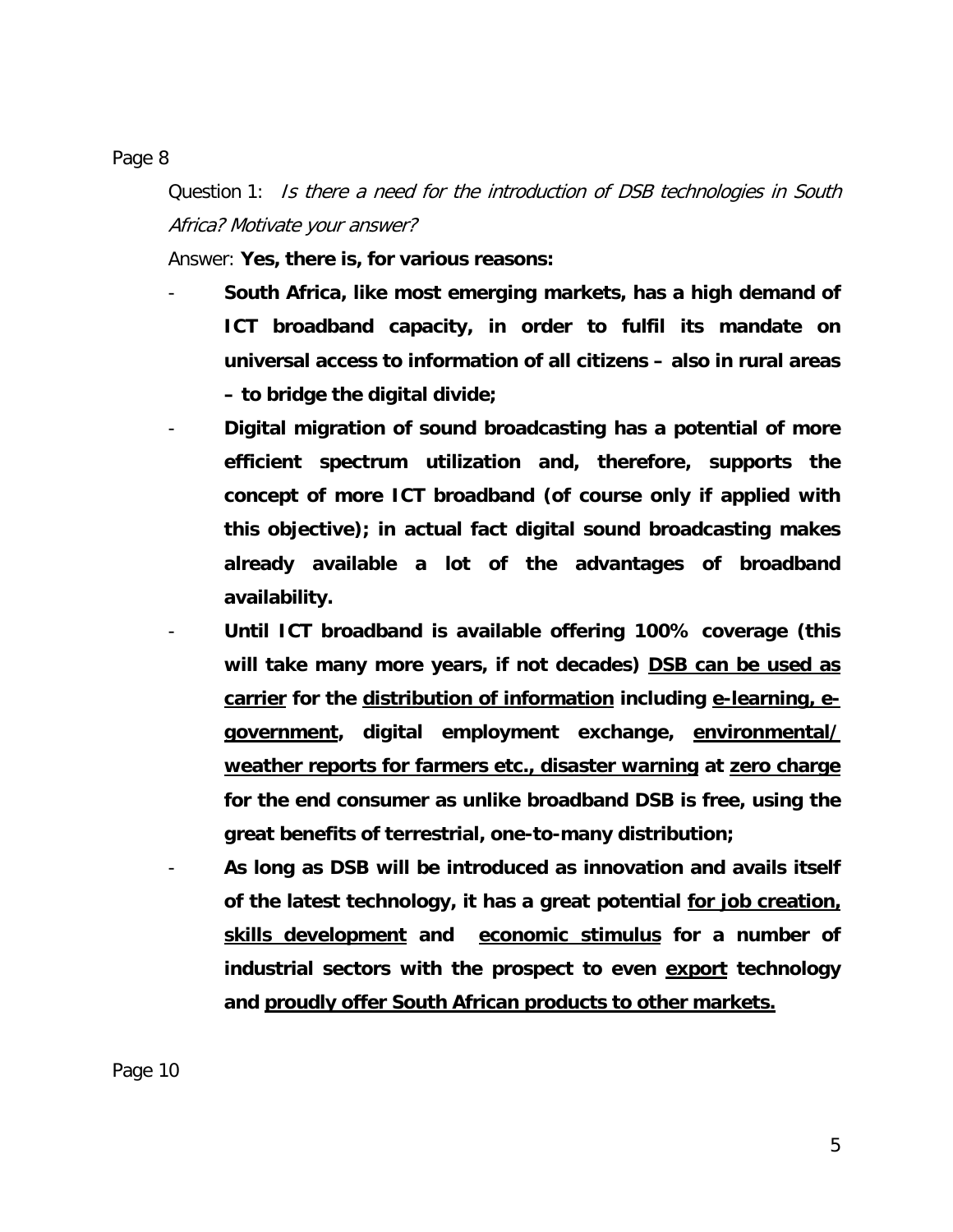Page 8

Question 1: Is there a need for the introduction of DSB technologies in South Africa? Motivate your answer?

Answer: **Yes, there is, for various reasons:**

- **South Africa, like most emerging markets, has a high demand of ICT broadband capacity, in order to fulfil its mandate on universal access to information of all citizens – also in rural areas – to bridge the digital divide;**
- **Digital migration of sound broadcasting has a potential of more efficient spectrum utilization and, therefore, supports the concept of more ICT broadband (of course only if applied with this objective); in actual fact digital sound broadcasting makes already available a lot of the advantages of broadband availability.**
- **Until ICT broadband is available offering 100% coverage (this will take many more years, if not decades) DSB can be used as carrier for the distribution of information including e-learning, egovernment, digital employment exchange, environmental/ weather reports for farmers etc., disaster warning at zero charge for the end consumer as unlike broadband DSB is free, using the great benefits of terrestrial, one-to-many distribution;**
- **As long as DSB will be introduced as innovation and avails itself of the latest technology, it has a great potential for job creation, skills development and economic stimulus for a number of industrial sectors with the prospect to even export technology and proudly offer South African products to other markets.**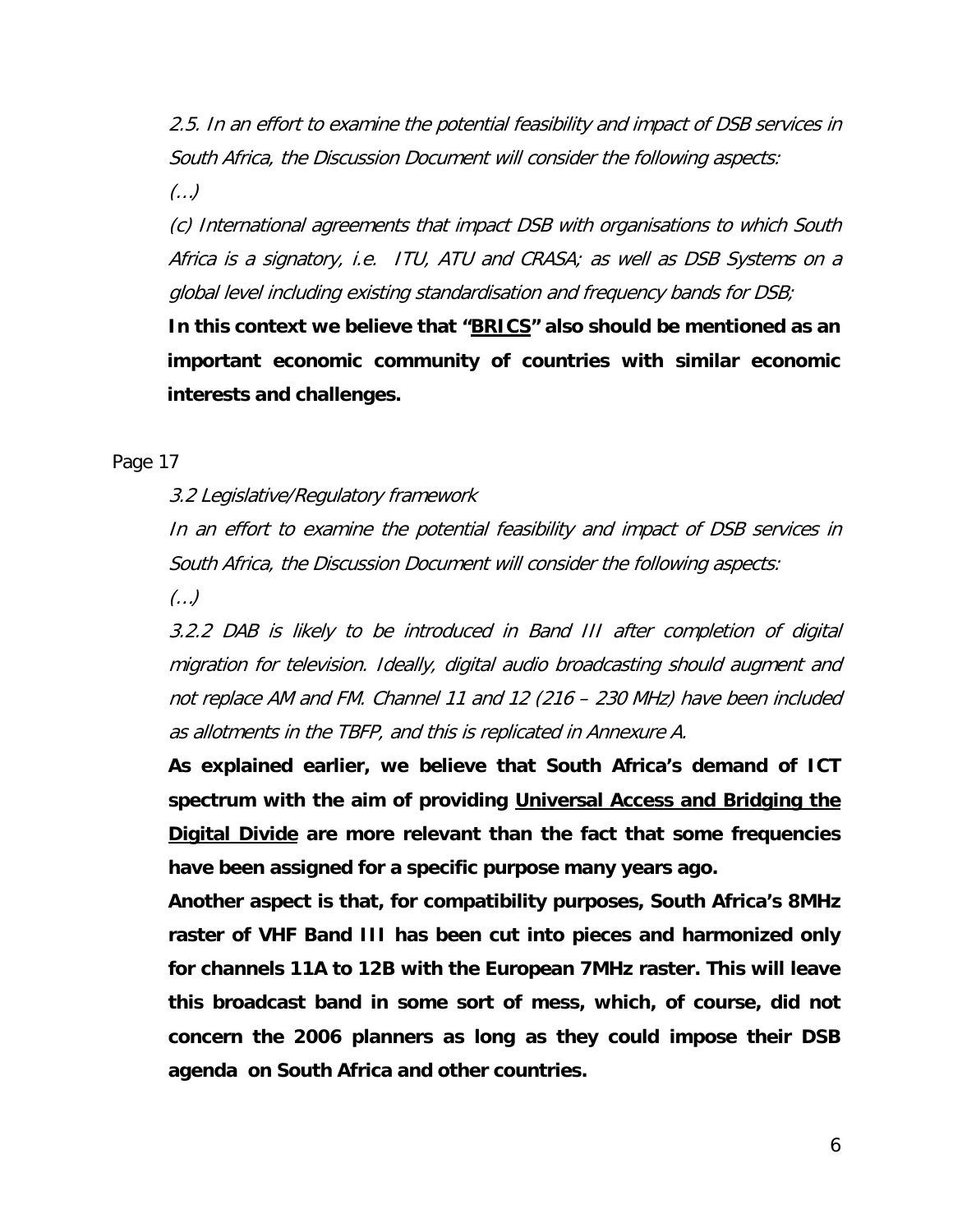2.5. In an effort to examine the potential feasibility and impact of DSB services in South Africa, the Discussion Document will consider the following aspects:

(…)

(c) International agreements that impact DSB with organisations to which South Africa is a signatory, i.e. ITU, ATU and CRASA; as well as DSB Systems on a global level including existing standardisation and frequency bands for DSB;

**In this context we believe that "BRICS" also should be mentioned as an important economic community of countries with similar economic interests and challenges.**

Page 17

3.2 Legislative/Regulatory framework

In an effort to examine the potential feasibility and impact of DSB services in South Africa, the Discussion Document will consider the following aspects:

(…)

3.2.2 DAB is likely to be introduced in Band III after completion of digital migration for television. Ideally, digital audio broadcasting should augment and not replace AM and FM. Channel 11 and 12 (216 – 230 MHz) have been included as allotments in the TBFP, and this is replicated in Annexure A.

**As explained earlier, we believe that South Africa's demand of ICT spectrum with the aim of providing Universal Access and Bridging the Digital Divide are more relevant than the fact that some frequencies have been assigned for a specific purpose many years ago.**

**Another aspect is that, for compatibility purposes, South Africa's 8MHz raster of VHF Band III has been cut into pieces and harmonized only for channels 11A to 12B with the European 7MHz raster. This will leave this broadcast band in some sort of mess, which, of course, did not concern the 2006 planners as long as they could impose their DSB agenda on South Africa and other countries.**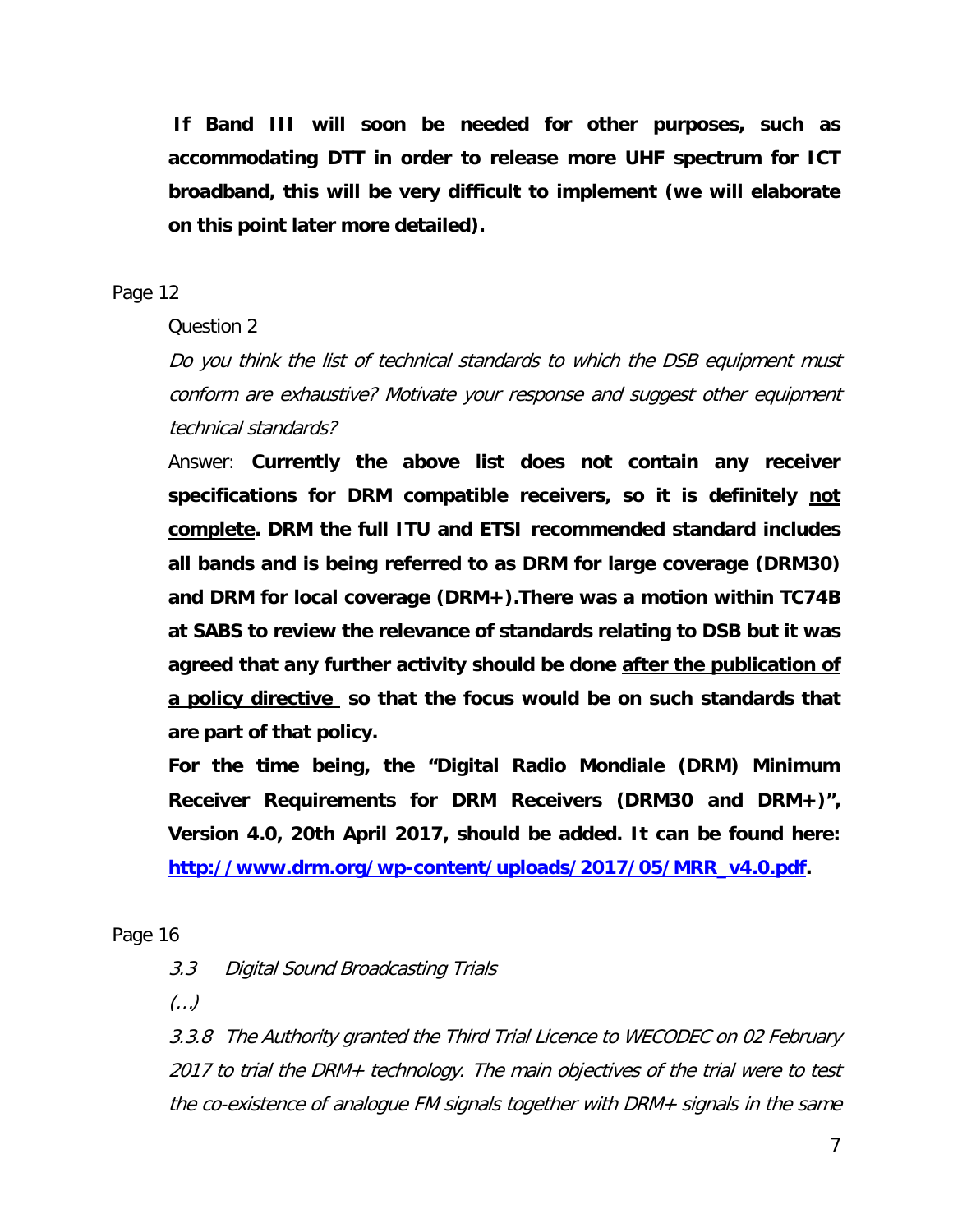**If Band III will soon be needed for other purposes, such as accommodating DTT in order to release more UHF spectrum for ICT broadband, this will be very difficult to implement (we will elaborate on this point later more detailed).**

## Page 12

Question 2

Do you think the list of technical standards to which the DSB equipment must conform are exhaustive? Motivate your response and suggest other equipment technical standards?

Answer: **Currently the above list does not contain any receiver specifications for DRM compatible receivers, so it is definitely not complete. DRM the full ITU and ETSI recommended standard includes all bands and is being referred to as DRM for large coverage (DRM30) and DRM for local coverage (DRM+).There was a motion within TC74B at SABS to review the relevance of standards relating to DSB but it was agreed that any further activity should be done after the publication of a policy directive so that the focus would be on such standards that are part of that policy.**

**For the time being, the "Digital Radio Mondiale (DRM) Minimum Receiver Requirements for DRM Receivers (DRM30 and DRM+)", Version 4.0, 20th April 2017, should be added. It can be found here: [http://www.drm.org/wp-content/uploads/2017/05/MRR\\_v4.0.pdf.](http://www.drm.org/wp-content/uploads/2017/05/MRR_v4.0.pdf)**

Page 16

3.3 Digital Sound Broadcasting Trials

(…)

3.3.8 The Authority granted the Third Trial Licence to WECODEC on 02 February 2017 to trial the DRM+ technology. The main objectives of the trial were to test the co-existence of analogue FM signals together with DRM+ signals in the same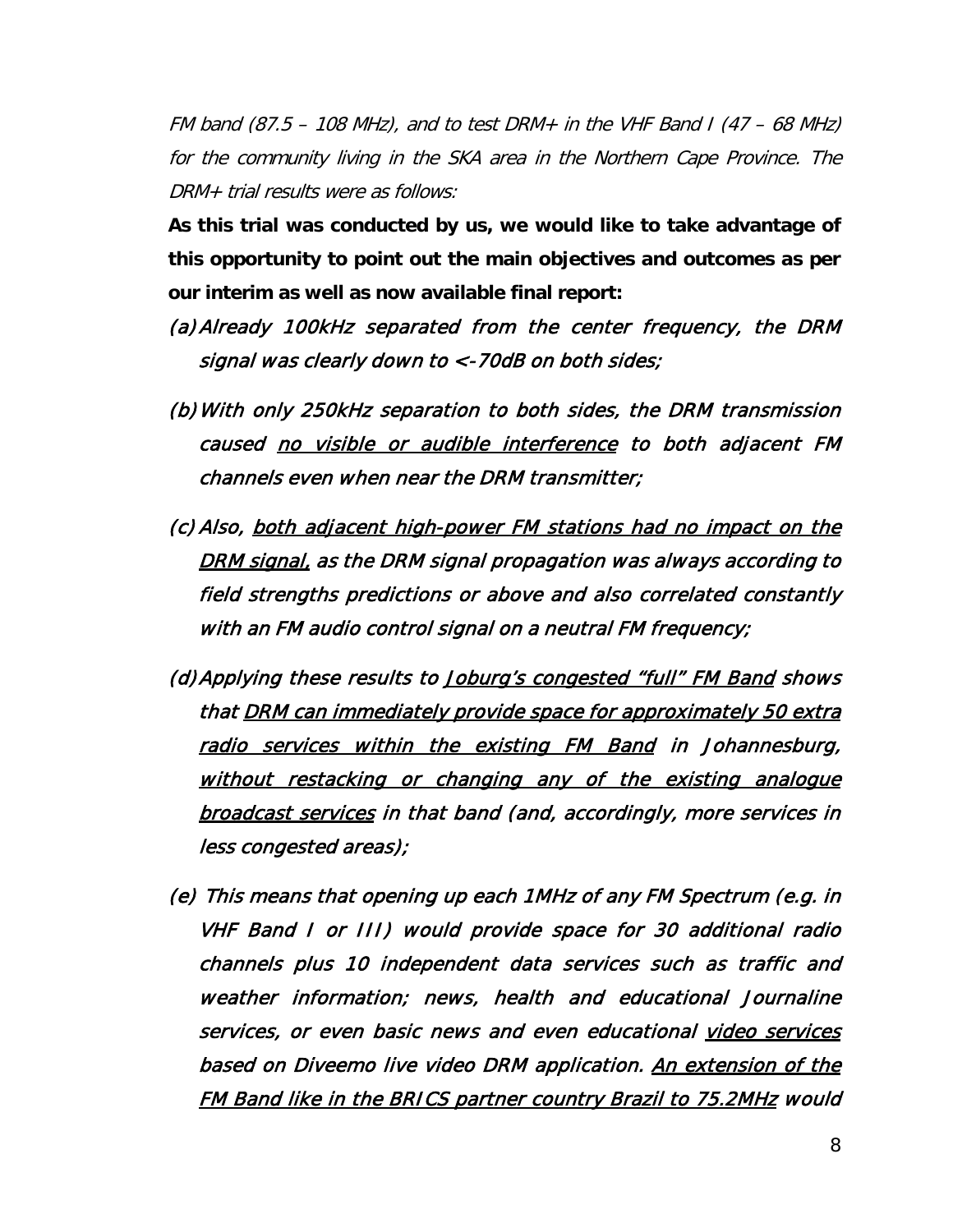FM band (87.5 – 108 MHz), and to test DRM+ in the VHF Band I (47 – 68 MHz) for the community living in the SKA area in the Northern Cape Province. The DRM+ trial results were as follows:

**As this trial was conducted by us, we would like to take advantage of this opportunity to point out the main objectives and outcomes as per our interim as well as now available final report:**

- (a) Already 100kHz separated from the center frequency, the DRM signal was clearly down to  $\langle$ -70dB on both sides;
- (b) With only 250kHz separation to both sides, the DRM transmission caused no visible or audible interference to both adjacent FM channels even when near the DRM transmitter;
- (c) Also, both adjacent high-power FM stations had no impact on the DRM signal, as the DRM signal propagation was always according to field strengths predictions or above and also correlated constantly with an FM audio control signal on a neutral FM frequency;
- (d) Applying these results to Joburg's congested "full" FM Band shows that DRM can immediately provide space for approximately 50 extra radio services within the existing FM Band in Johannesburg, without restacking or changing any of the existing analogue broadcast services in that band (and, accordingly, more services in less congested areas);
- (e) This means that opening up each 1MHz of any FM Spectrum (e.g. in VHF Band I or III) would provide space for 30 additional radio channels plus 10 independent data services such as traffic and weather information; news, health and educational Journaline services, or even basic news and even educational video services based on Diveemo live video DRM application. An extension of the FM Band like in the BRICS partner country Brazil to 75.2MHz would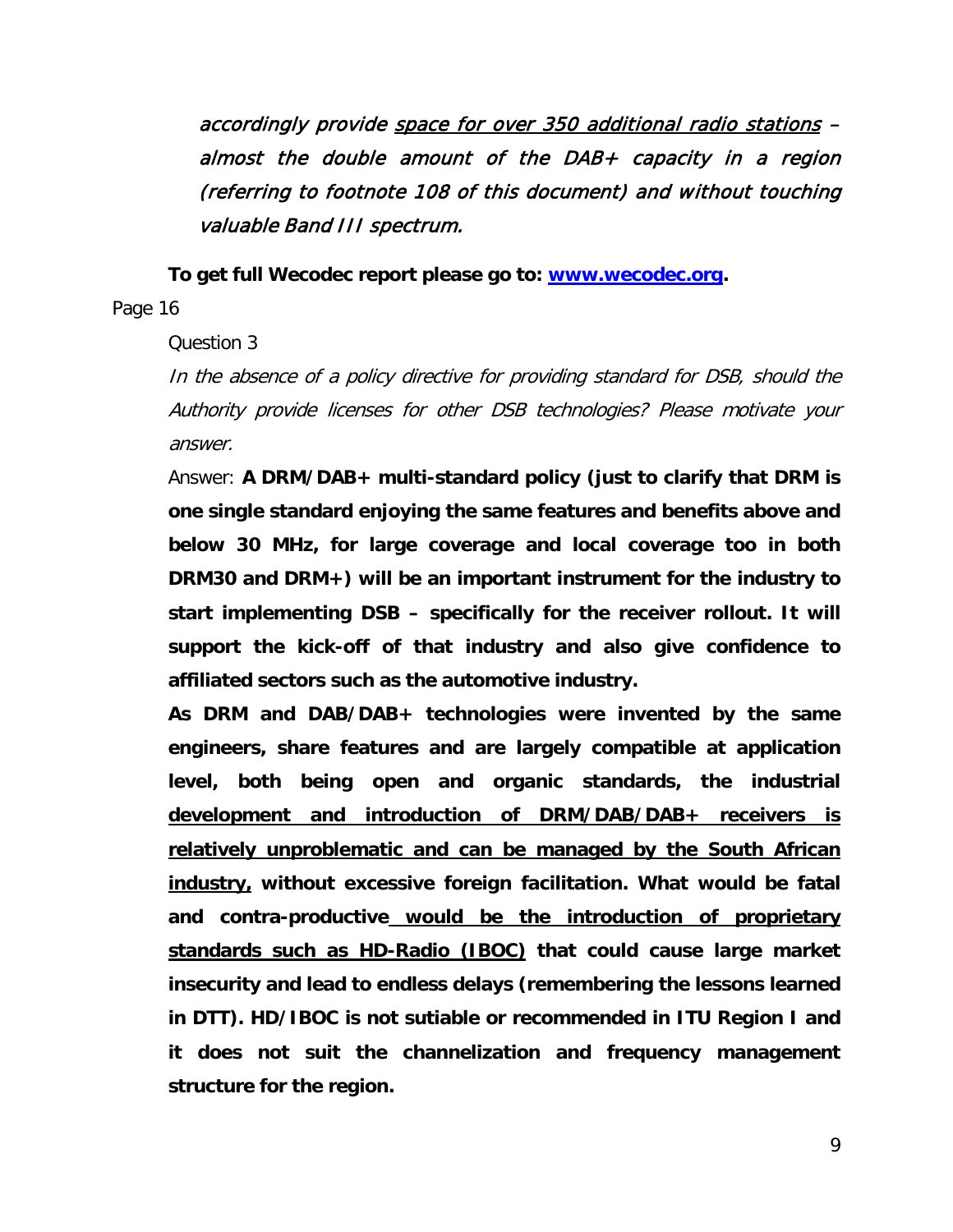accordingly provide space for over 350 additional radio stations – almost the double amount of the DAB+ capacity in a region (referring to footnote 108 of this document) and without touching valuable Band III spectrum.

**To get full Wecodec report please go to: [www.wecodec.org.](http://www.wecodec.org/)**

Page 16

Question 3

In the absence of a policy directive for providing standard for DSB, should the Authority provide licenses for other DSB technologies? Please motivate your answer.

Answer: **A DRM/DAB+ multi-standard policy (just to clarify that DRM is one single standard enjoying the same features and benefits above and below 30 MHz, for large coverage and local coverage too in both DRM30 and DRM+) will be an important instrument for the industry to start implementing DSB – specifically for the receiver rollout. It will support the kick-off of that industry and also give confidence to affiliated sectors such as the automotive industry.** 

**As DRM and DAB/DAB+ technologies were invented by the same engineers, share features and are largely compatible at application level, both being open and organic standards, the industrial development and introduction of DRM/DAB/DAB+ receivers is relatively unproblematic and can be managed by the South African industry, without excessive foreign facilitation. What would be fatal and contra-productive would be the introduction of proprietary standards such as HD-Radio (IBOC) that could cause large market insecurity and lead to endless delays (remembering the lessons learned in DTT). HD/IBOC is not sutiable or recommended in ITU Region I and it does not suit the channelization and frequency management structure for the region.**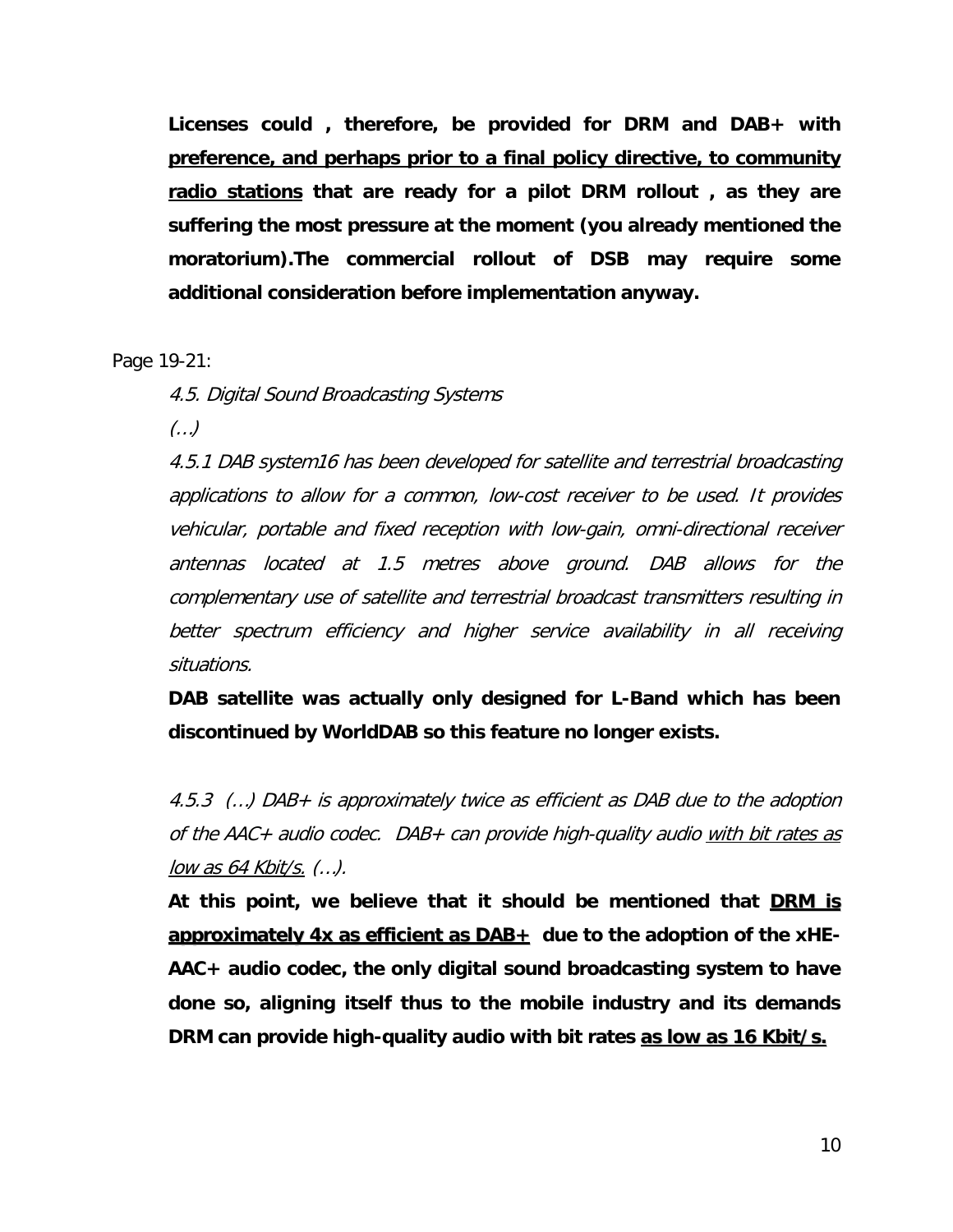**Licenses could , therefore, be provided for DRM and DAB+ with preference, and perhaps prior to a final policy directive, to community radio stations that are ready for a pilot DRM rollout , as they are suffering the most pressure at the moment (you already mentioned the moratorium).The commercial rollout of DSB may require some additional consideration before implementation anyway.**

Page 19-21:

4.5. Digital Sound Broadcasting Systems

(…)

4.5.1 DAB system16 has been developed for satellite and terrestrial broadcasting applications to allow for a common, low-cost receiver to be used. It provides vehicular, portable and fixed reception with low-gain, omni-directional receiver antennas located at 1.5 metres above ground. DAB allows for the complementary use of satellite and terrestrial broadcast transmitters resulting in better spectrum efficiency and higher service availability in all receiving situations.

**DAB satellite was actually only designed for L-Band which has been discontinued by WorldDAB so this feature no longer exists.**

4.5.3 (…) DAB+ is approximately twice as efficient as DAB due to the adoption of the AAC+ audio codec. DAB+ can provide high-quality audio with bit rates as low as 64 Kbit/s. (…).

**At this point, we believe that it should be mentioned that DRM is approximately 4x as efficient as DAB+ due to the adoption of the xHE-AAC+ audio codec, the only digital sound broadcasting system to have done so, aligning itself thus to the mobile industry and its demands DRM can provide high-quality audio with bit rates as low as 16 Kbit/s.**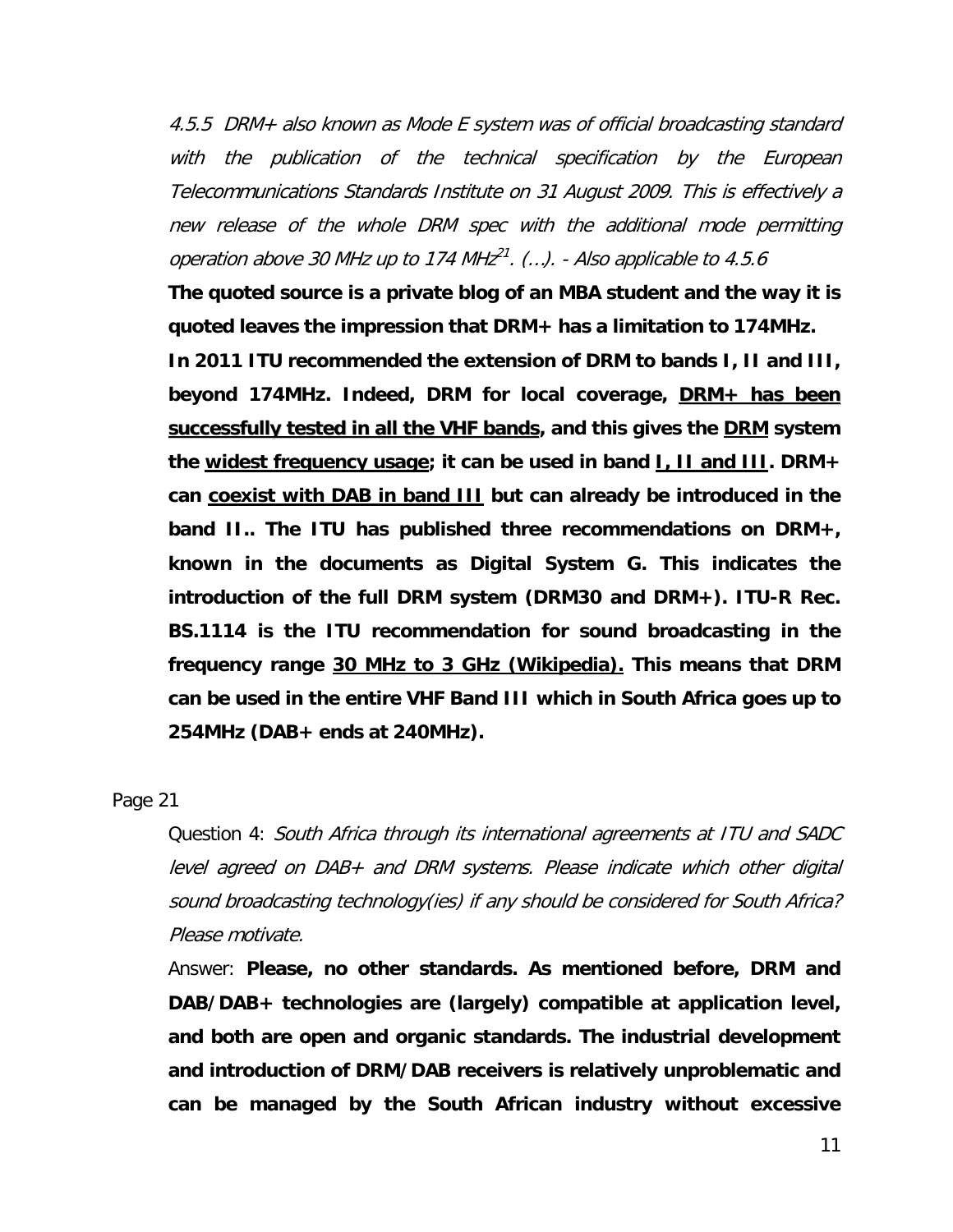4.5.5 DRM+ also known as Mode E system was of official broadcasting standard with the publication of the technical specification by the European Telecommunications Standards Institute on 31 August 2009. This is effectively a new release of the whole DRM spec with the additional mode permitting operation above 30 MHz up to 174 MHz<sup>21</sup>. (...). - Also applicable to 4.5.6

**The quoted source is a private blog of an MBA student and the way it is quoted leaves the impression that DRM+ has a limitation to 174MHz.** 

**In 2011 ITU recommended the extension of DRM to bands I, II and III, beyond 174MHz. Indeed, DRM for local coverage, DRM+ has been successfully tested in all the VHF bands, and this gives the DRM system the widest frequency usage; it can be used in band I, II and III. DRM+ can coexist with DAB in band III but can already be introduced in the band II.. The ITU has published three recommendations on DRM+, known in the documents as Digital System G. This indicates the introduction of the full DRM system (DRM30 and DRM+). ITU-R Rec. BS.1114 is the ITU recommendation for sound broadcasting in the frequency range 30 MHz to 3 GHz (Wikipedia). This means that DRM can be used in the entire VHF Band III which in South Africa goes up to 254MHz (DAB+ ends at 240MHz).**

Page 21

Question 4: South Africa through its international agreements at ITU and SADC level agreed on DAB+ and DRM systems. Please indicate which other digital sound broadcasting technology(ies) if any should be considered for South Africa? Please motivate.

Answer: **Please, no other standards. As mentioned before, DRM and DAB/DAB+ technologies are (largely) compatible at application level, and both are open and organic standards. The industrial development and introduction of DRM/DAB receivers is relatively unproblematic and can be managed by the South African industry without excessive**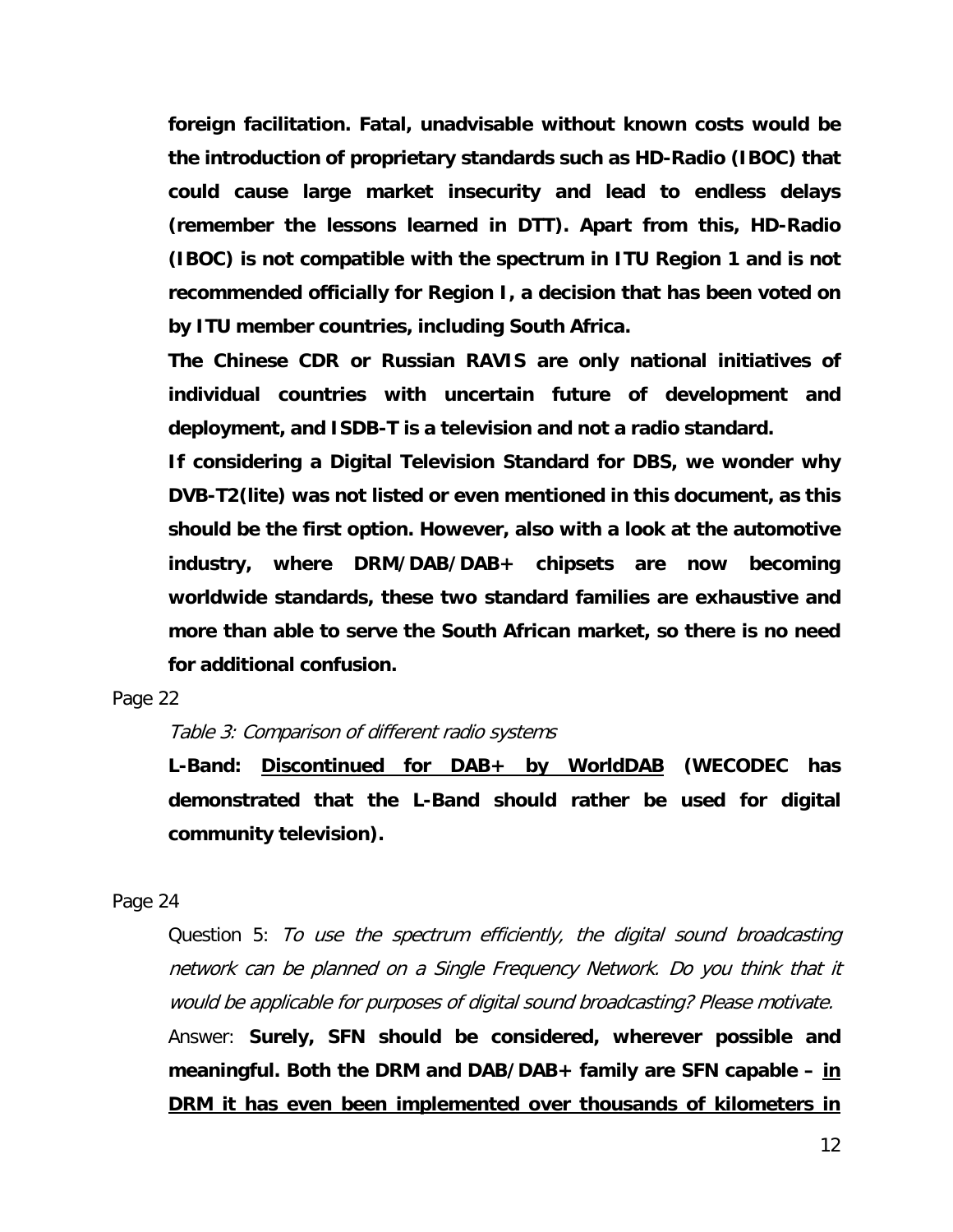**foreign facilitation. Fatal, unadvisable without known costs would be the introduction of proprietary standards such as HD-Radio (IBOC) that could cause large market insecurity and lead to endless delays (remember the lessons learned in DTT). Apart from this, HD-Radio (IBOC) is not compatible with the spectrum in ITU Region 1 and is not recommended officially for Region I, a decision that has been voted on by ITU member countries, including South Africa.**

**The Chinese CDR or Russian RAVIS are only national initiatives of individual countries with uncertain future of development and deployment, and ISDB-T is a television and not a radio standard.**

**If considering a Digital Television Standard for DBS, we wonder why DVB-T2(lite) was not listed or even mentioned in this document, as this should be the first option. However, also with a look at the automotive industry, where DRM/DAB/DAB+ chipsets are now becoming worldwide standards, these two standard families are exhaustive and more than able to serve the South African market, so there is no need for additional confusion.**

Page 22

#### Table 3: Comparison of different radio systems

**L-Band: Discontinued for DAB+ by WorldDAB (WECODEC has demonstrated that the L-Band should rather be used for digital community television).**

Page 24

Question 5: To use the spectrum efficiently, the digital sound broadcasting network can be planned on a Single Frequency Network. Do you think that it would be applicable for purposes of digital sound broadcasting? Please motivate. Answer: **Surely, SFN should be considered, wherever possible and meaningful. Both the DRM and DAB/DAB+ family are SFN capable – in DRM it has even been implemented over thousands of kilometers in**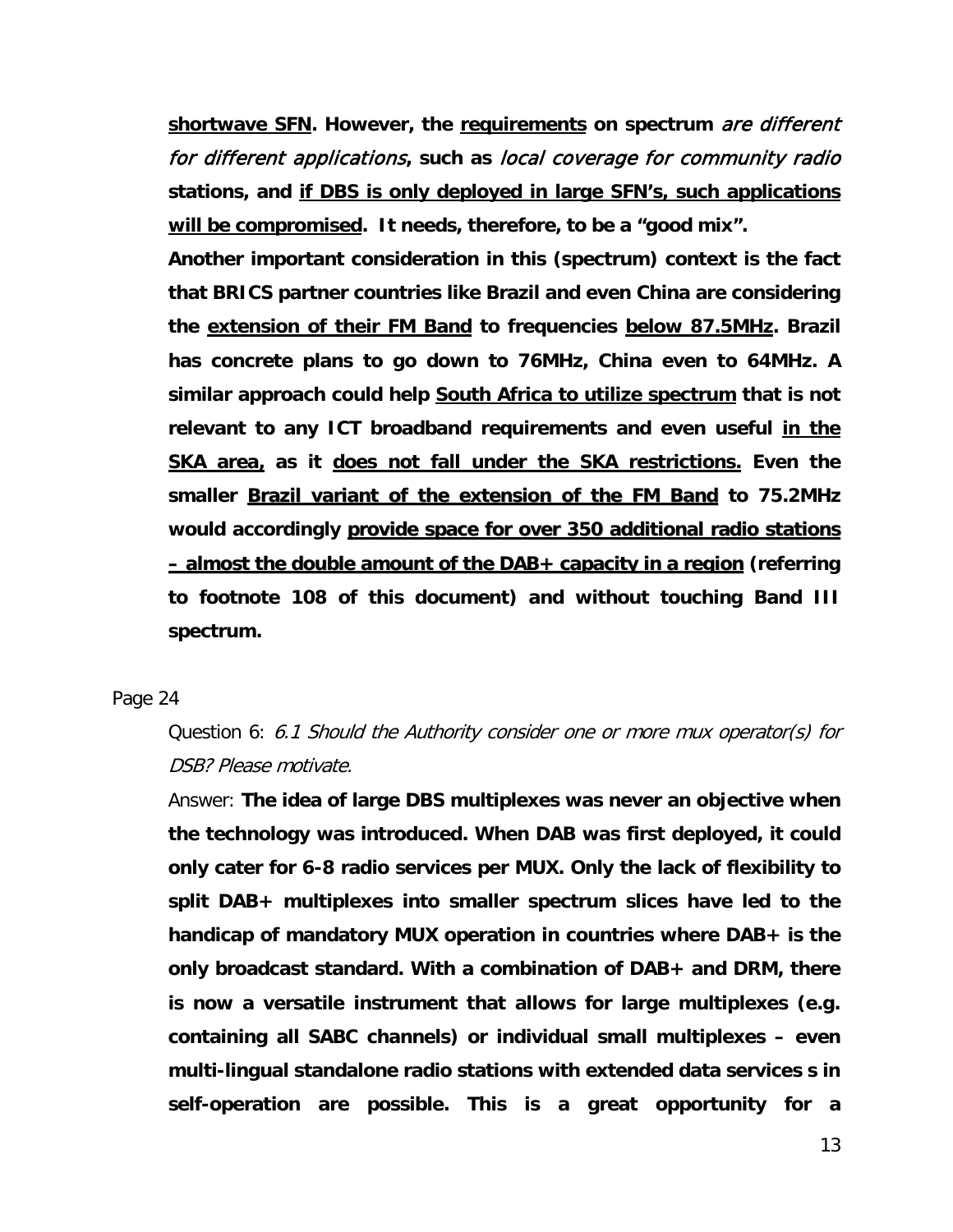**shortwave SFN. However, the requirements on spectrum** are different for different applications**, such as** local coverage for community radio **stations, and if DBS is only deployed in large SFN's, such applications will be compromised. It needs, therefore, to be a "good mix".**

**Another important consideration in this (spectrum) context is the fact that BRICS partner countries like Brazil and even China are considering the extension of their FM Band to frequencies below 87.5MHz. Brazil has concrete plans to go down to 76MHz, China even to 64MHz. A similar approach could help South Africa to utilize spectrum that is not relevant to any ICT broadband requirements and even useful in the SKA area, as it does not fall under the SKA restrictions. Even the smaller Brazil variant of the extension of the FM Band to 75.2MHz would accordingly provide space for over 350 additional radio stations – almost the double amount of the DAB+ capacity in a region (referring to footnote 108 of this document) and without touching Band III spectrum.**

#### Page 24

# Question 6: 6.1 Should the Authority consider one or more mux operator(s) for DSB? Please motivate.

Answer: **The idea of large DBS multiplexes was never an objective when the technology was introduced. When DAB was first deployed, it could only cater for 6-8 radio services per MUX. Only the lack of flexibility to split DAB+ multiplexes into smaller spectrum slices have led to the handicap of mandatory MUX operation in countries where DAB+ is the only broadcast standard. With a combination of DAB+ and DRM, there is now a versatile instrument that allows for large multiplexes (e.g. containing all SABC channels) or individual small multiplexes – even multi-lingual standalone radio stations with extended data services s in self-operation are possible. This is a great opportunity for a**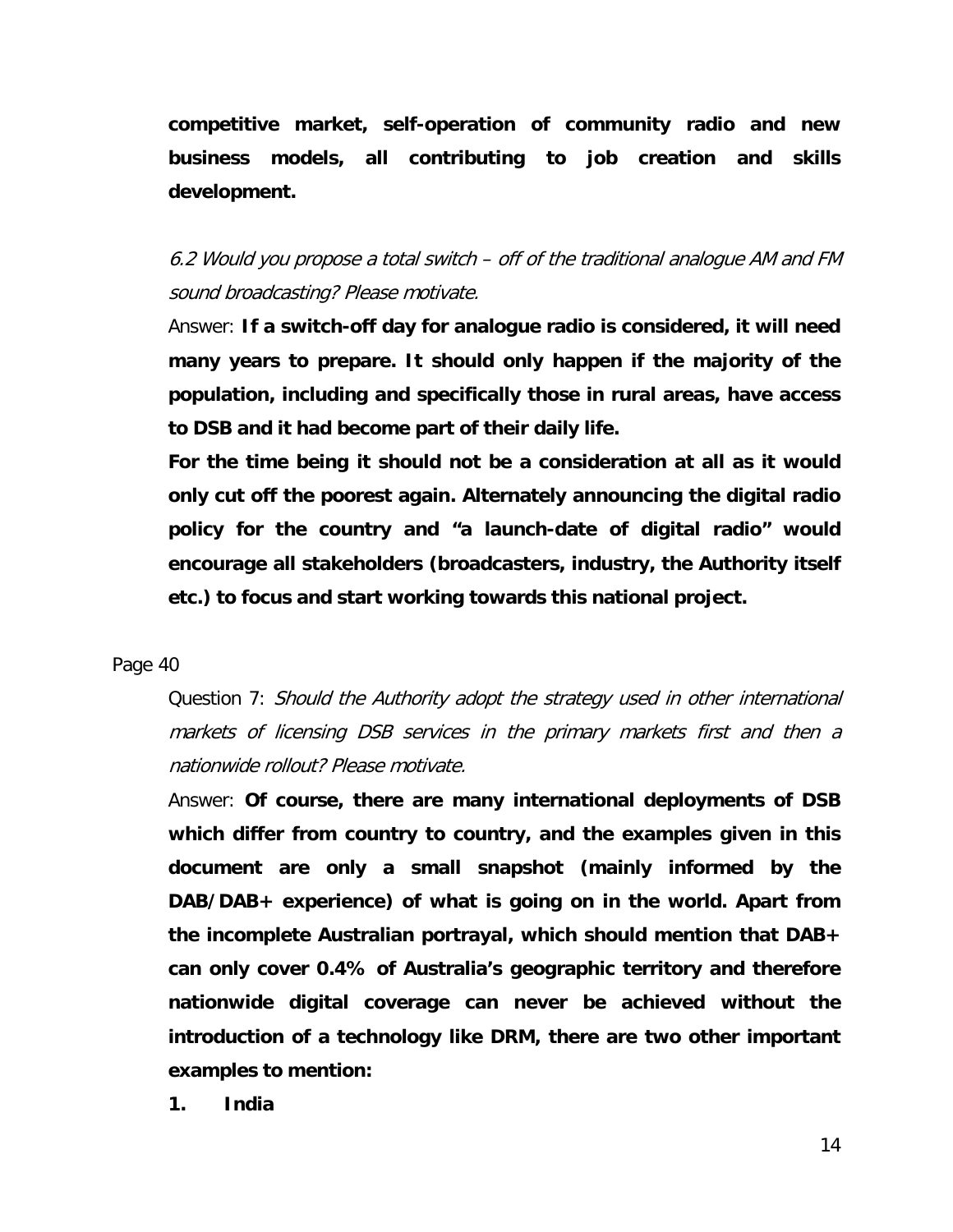**competitive market, self-operation of community radio and new business models, all contributing to job creation and skills development.**

6.2 Would you propose a total switch – off of the traditional analogue AM and FM sound broadcasting? Please motivate.

Answer: **If a switch-off day for analogue radio is considered, it will need many years to prepare. It should only happen if the majority of the population, including and specifically those in rural areas, have access to DSB and it had become part of their daily life.**

**For the time being it should not be a consideration at all as it would only cut off the poorest again. Alternately announcing the digital radio policy for the country and "a launch-date of digital radio" would encourage all stakeholders (broadcasters, industry, the Authority itself etc.) to focus and start working towards this national project.**

#### Page 40

Question 7: Should the Authority adopt the strategy used in other international markets of licensing DSB services in the primary markets first and then a nationwide rollout? Please motivate.

Answer: **Of course, there are many international deployments of DSB which differ from country to country, and the examples given in this document are only a small snapshot (mainly informed by the DAB/DAB+ experience) of what is going on in the world. Apart from the incomplete Australian portrayal, which should mention that DAB+ can only cover 0.4% of Australia's geographic territory and therefore nationwide digital coverage can never be achieved without the introduction of a technology like DRM, there are two other important examples to mention:**

**1. India**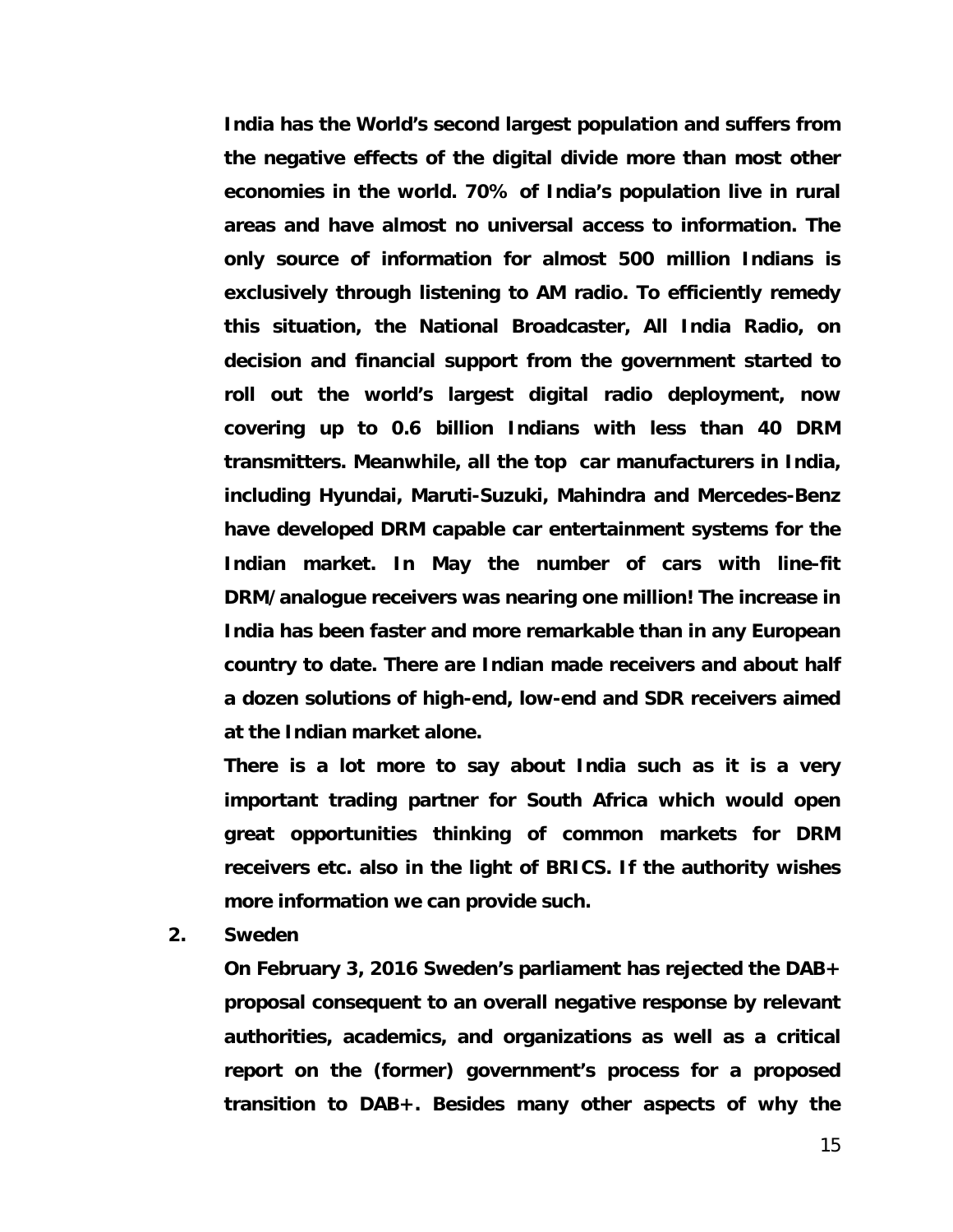**India has the World's second largest population and suffers from the negative effects of the digital divide more than most other economies in the world. 70% of India's population live in rural areas and have almost no universal access to information. The only source of information for almost 500 million Indians is exclusively through listening to AM radio. To efficiently remedy this situation, the National Broadcaster, All India Radio, on decision and financial support from the government started to roll out the world's largest digital radio deployment, now covering up to 0.6 billion Indians with less than 40 DRM transmitters. Meanwhile, all the top car manufacturers in India, including Hyundai, Maruti-Suzuki, Mahindra and Mercedes-Benz have developed DRM capable car entertainment systems for the Indian market. In May the number of cars with line-fit DRM/analogue receivers was nearing one million! The increase in India has been faster and more remarkable than in any European country to date. There are Indian made receivers and about half a dozen solutions of high-end, low-end and SDR receivers aimed at the Indian market alone.**

**There is a lot more to say about India such as it is a very important trading partner for South Africa which would open great opportunities thinking of common markets for DRM receivers etc. also in the light of BRICS. If the authority wishes more information we can provide such.**

**2. Sweden**

**On February 3, 2016 Sweden's parliament has rejected the DAB+ proposal consequent to an overall negative response by relevant authorities, academics, and organizations as well as a critical report on the (former) government's process for a proposed transition to DAB+. Besides many other aspects of why the**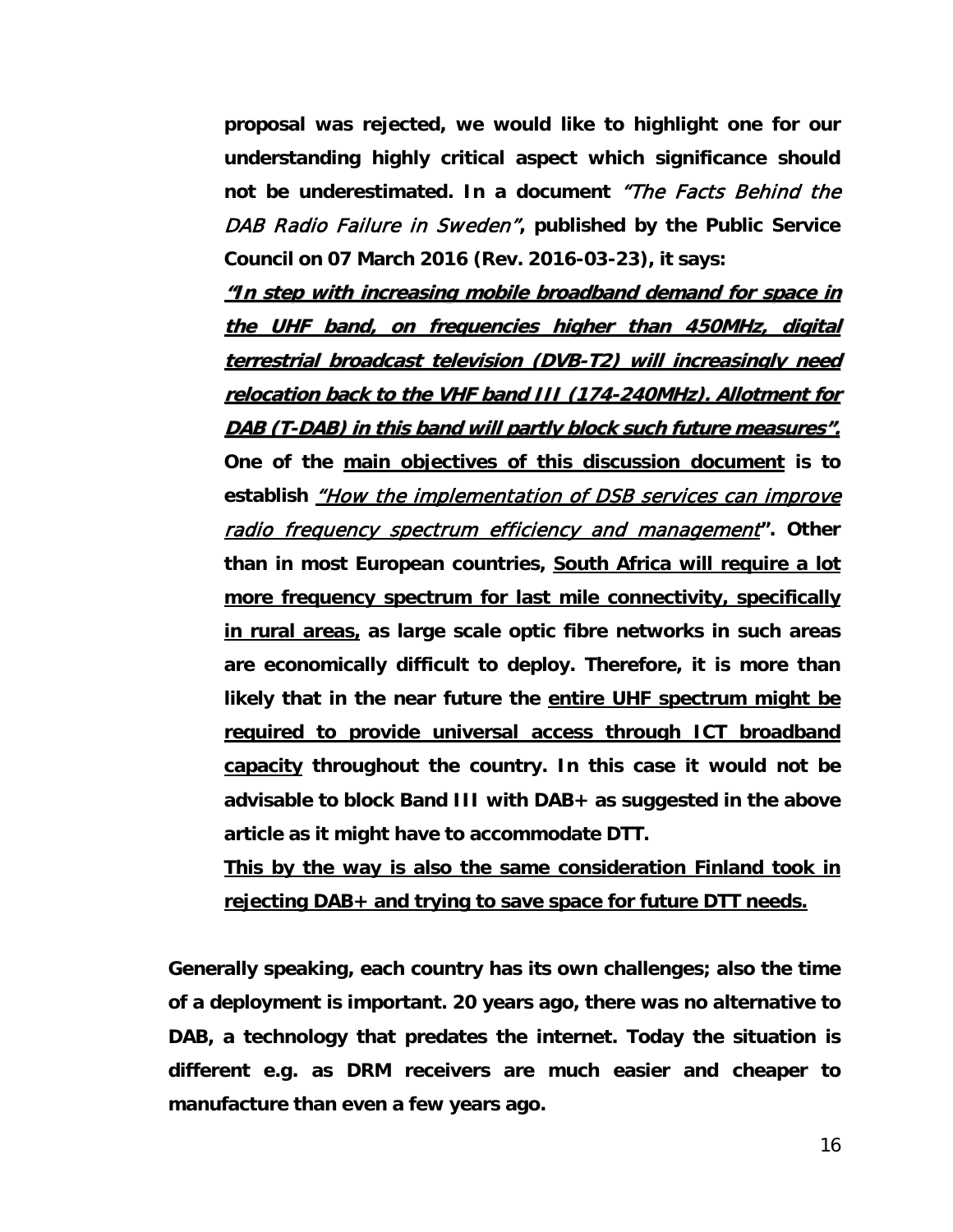**proposal was rejected, we would like to highlight one for our understanding highly critical aspect which significance should not be underestimated. In a document** "The Facts Behind the DAB Radio Failure in Sweden"**, published by the Public Service Council on 07 March 2016 (Rev. 2016-03-23), it says:**

**"In step with increasing mobile broadband demand for space in the UHF band, on frequencies higher than 450MHz, digital terrestrial broadcast television (DVB-T2) will increasingly need relocation back to the VHF band III (174-240MHz). Allotment for DAB (T-DAB) in this band will partly block such future measures". One of the main objectives of this discussion document is to**  establish *"How the implementation of DSB services can improve* radio frequency spectrum efficiency and management**". Other than in most European countries, South Africa will require a lot more frequency spectrum for last mile connectivity, specifically in rural areas, as large scale optic fibre networks in such areas are economically difficult to deploy. Therefore, it is more than likely that in the near future the entire UHF spectrum might be required to provide universal access through ICT broadband capacity throughout the country. In this case it would not be advisable to block Band III with DAB+ as suggested in the above article as it might have to accommodate DTT.**

**This by the way is also the same consideration Finland took in rejecting DAB+ and trying to save space for future DTT needs.**

**Generally speaking, each country has its own challenges; also the time of a deployment is important. 20 years ago, there was no alternative to DAB, a technology that predates the internet. Today the situation is different e.g. as DRM receivers are much easier and cheaper to manufacture than even a few years ago.**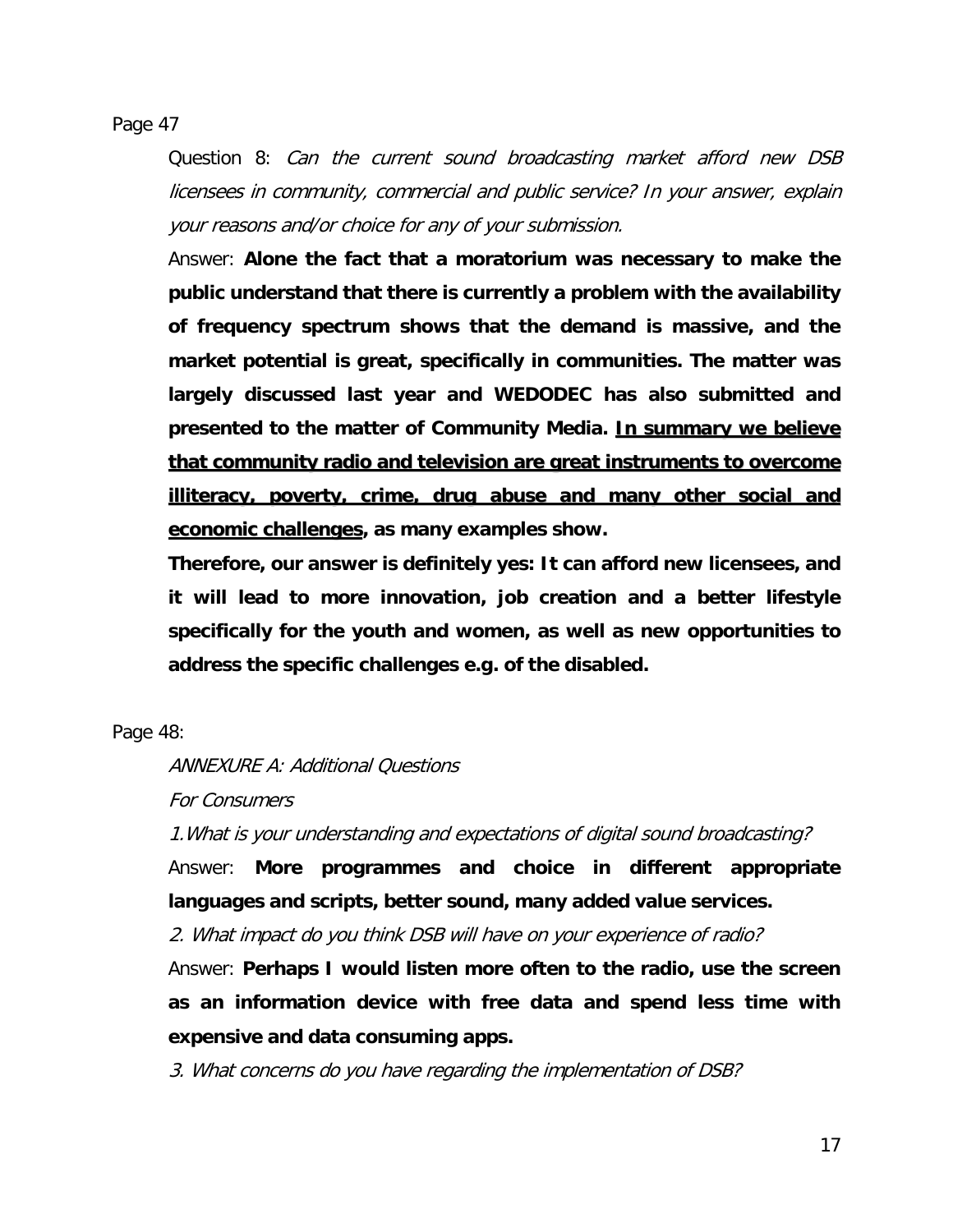Page 47

Question 8: Can the current sound broadcasting market afford new DSB licensees in community, commercial and public service? In your answer, explain your reasons and/or choice for any of your submission.

Answer: **Alone the fact that a moratorium was necessary to make the public understand that there is currently a problem with the availability of frequency spectrum shows that the demand is massive, and the market potential is great, specifically in communities. The matter was largely discussed last year and WEDODEC has also submitted and presented to the matter of Community Media. In summary we believe that community radio and television are great instruments to overcome illiteracy, poverty, crime, drug abuse and many other social and economic challenges, as many examples show.**

**Therefore, our answer is definitely yes: It can afford new licensees, and it will lead to more innovation, job creation and a better lifestyle specifically for the youth and women, as well as new opportunities to address the specific challenges e.g. of the disabled.**

Page 48:

ANNEXURE A: Additional Questions

For Consumers

1.What is your understanding and expectations of digital sound broadcasting?

Answer: **More programmes and choice in different appropriate languages and scripts, better sound, many added value services.**

2. What impact do you think DSB will have on your experience of radio?

Answer: **Perhaps I would listen more often to the radio, use the screen as an information device with free data and spend less time with expensive and data consuming apps.**

3. What concerns do you have regarding the implementation of DSB?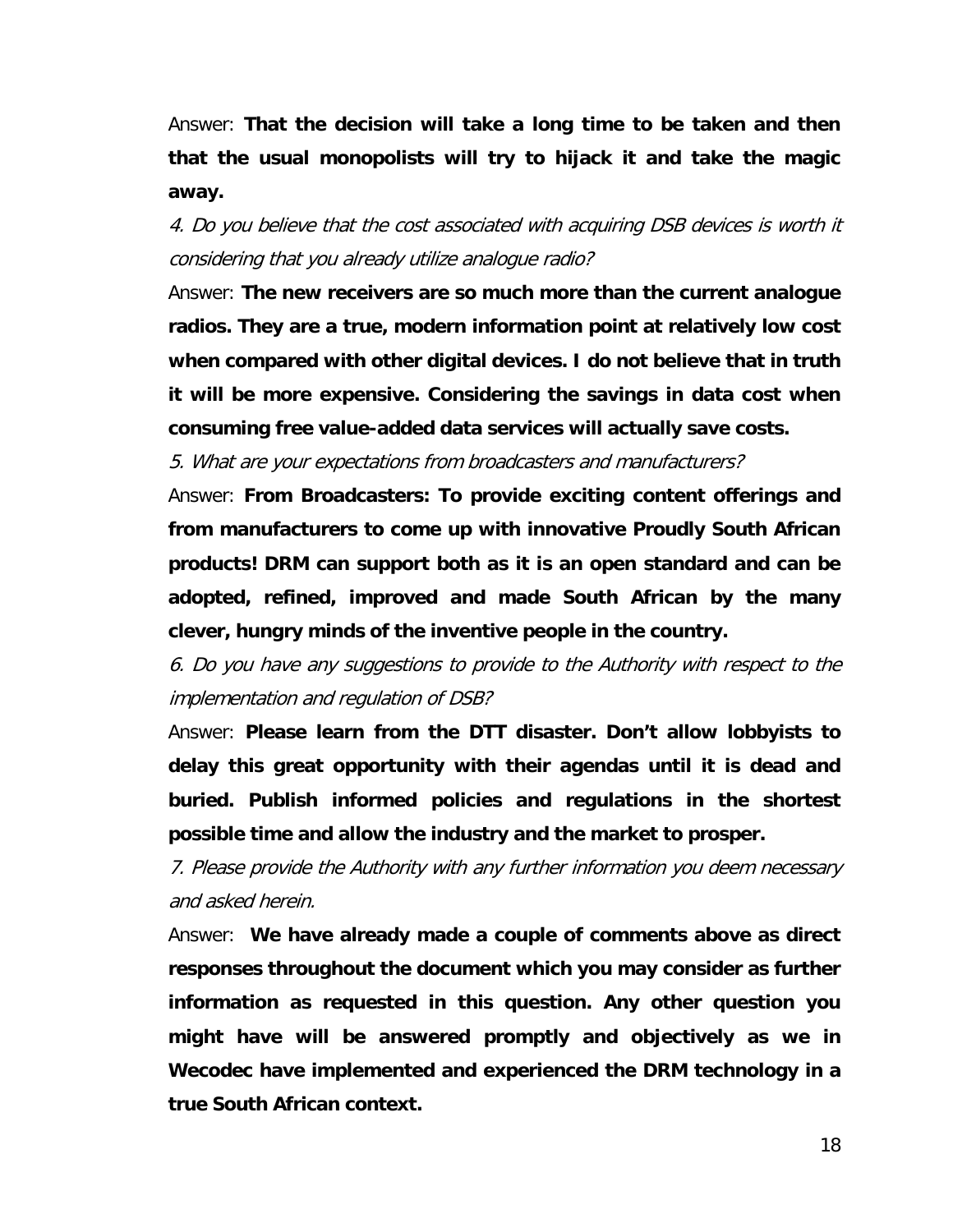Answer: **That the decision will take a long time to be taken and then that the usual monopolists will try to hijack it and take the magic away.**

4. Do you believe that the cost associated with acquiring DSB devices is worth it considering that you already utilize analogue radio?

Answer: **The new receivers are so much more than the current analogue radios. They are a true, modern information point at relatively low cost when compared with other digital devices. I do not believe that in truth it will be more expensive. Considering the savings in data cost when consuming free value-added data services will actually save costs.**

5. What are your expectations from broadcasters and manufacturers?

Answer: **From Broadcasters: To provide exciting content offerings and from manufacturers to come up with innovative Proudly South African products! DRM can support both as it is an open standard and can be adopted, refined, improved and made South African by the many clever, hungry minds of the inventive people in the country.**

6. Do you have any suggestions to provide to the Authority with respect to the implementation and regulation of DSB?

Answer: **Please learn from the DTT disaster. Don't allow lobbyists to delay this great opportunity with their agendas until it is dead and buried. Publish informed policies and regulations in the shortest possible time and allow the industry and the market to prosper.**

7. Please provide the Authority with any further information you deem necessary and asked herein.

Answer: **We have already made a couple of comments above as direct responses throughout the document which you may consider as further information as requested in this question. Any other question you might have will be answered promptly and objectively as we in Wecodec have implemented and experienced the DRM technology in a true South African context.**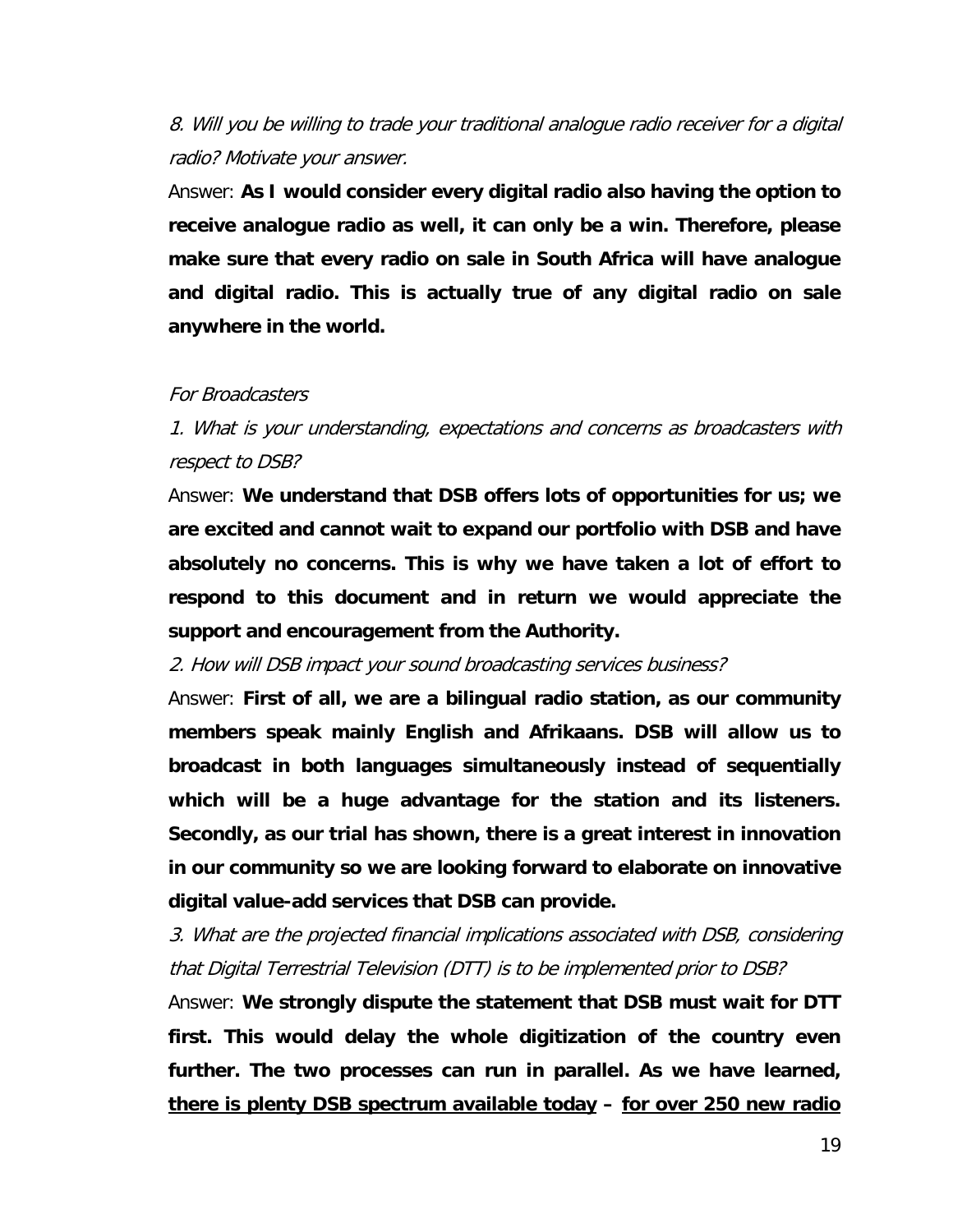# 8. Will you be willing to trade your traditional analogue radio receiver for a digital radio? Motivate your answer.

Answer: **As I would consider every digital radio also having the option to receive analogue radio as well, it can only be a win. Therefore, please make sure that every radio on sale in South Africa will have analogue and digital radio. This is actually true of any digital radio on sale anywhere in the world.**

## For Broadcasters

1. What is your understanding, expectations and concerns as broadcasters with respect to DSB?

Answer: **We understand that DSB offers lots of opportunities for us; we are excited and cannot wait to expand our portfolio with DSB and have absolutely no concerns. This is why we have taken a lot of effort to respond to this document and in return we would appreciate the support and encouragement from the Authority.**

2. How will DSB impact your sound broadcasting services business?

Answer: **First of all, we are a bilingual radio station, as our community members speak mainly English and Afrikaans. DSB will allow us to broadcast in both languages simultaneously instead of sequentially which will be a huge advantage for the station and its listeners. Secondly, as our trial has shown, there is a great interest in innovation in our community so we are looking forward to elaborate on innovative digital value-add services that DSB can provide.**

3. What are the projected financial implications associated with DSB, considering that Digital Terrestrial Television (DTT) is to be implemented prior to DSB?

Answer: **We strongly dispute the statement that DSB must wait for DTT first. This would delay the whole digitization of the country even further. The two processes can run in parallel. As we have learned, there is plenty DSB spectrum available today – for over 250 new radio**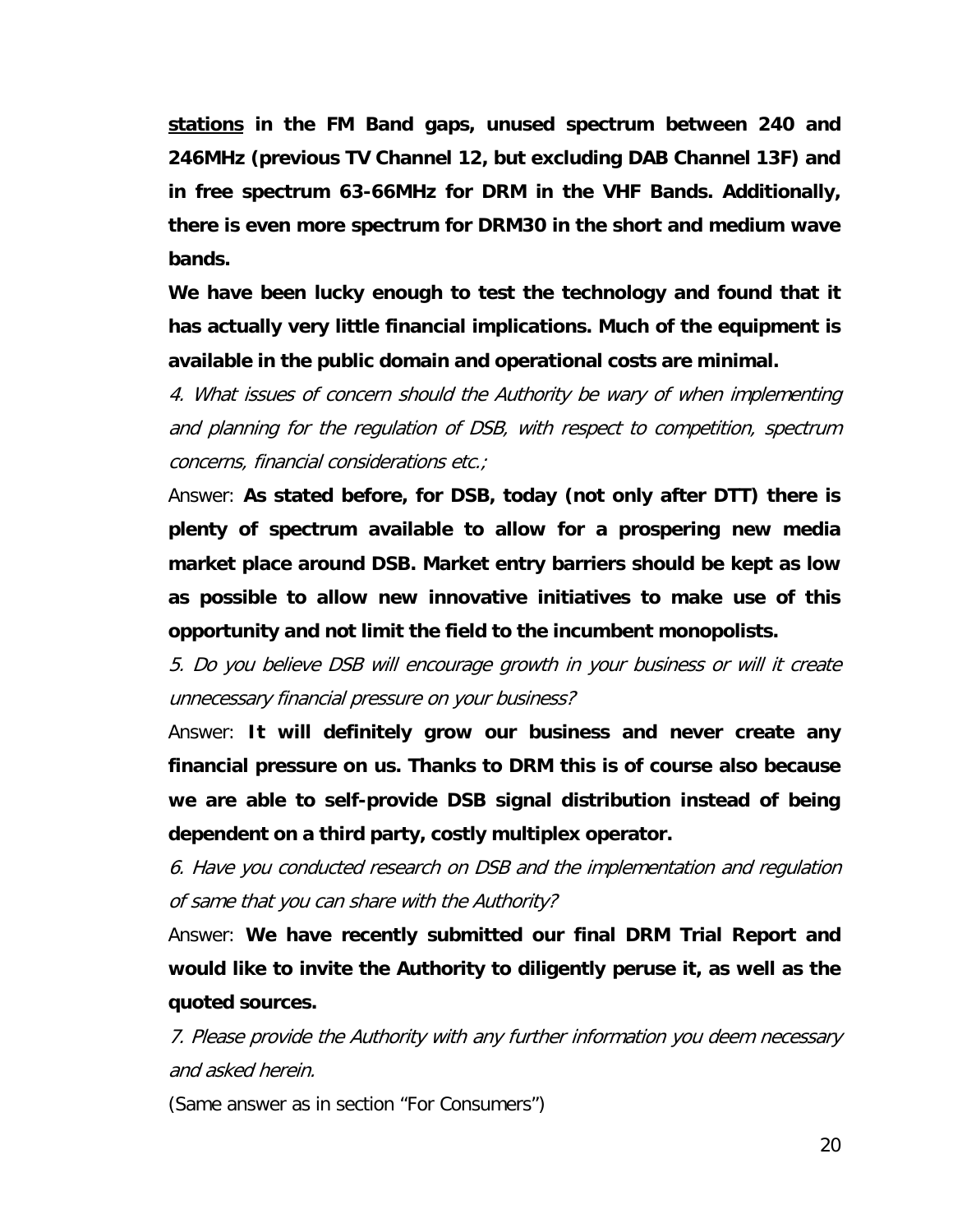**stations in the FM Band gaps, unused spectrum between 240 and 246MHz (previous TV Channel 12, but excluding DAB Channel 13F) and in free spectrum 63-66MHz for DRM in the VHF Bands. Additionally, there is even more spectrum for DRM30 in the short and medium wave bands.**

**We have been lucky enough to test the technology and found that it has actually very little financial implications. Much of the equipment is available in the public domain and operational costs are minimal.**

4. What issues of concern should the Authority be wary of when implementing and planning for the regulation of DSB, with respect to competition, spectrum concerns, financial considerations etc.;

Answer: **As stated before, for DSB, today (not only after DTT) there is plenty of spectrum available to allow for a prospering new media market place around DSB. Market entry barriers should be kept as low as possible to allow new innovative initiatives to make use of this opportunity and not limit the field to the incumbent monopolists.**

5. Do you believe DSB will encourage growth in your business or will it create unnecessary financial pressure on your business?

Answer: **It will definitely grow our business and never create any financial pressure on us. Thanks to DRM this is of course also because we are able to self-provide DSB signal distribution instead of being dependent on a third party, costly multiplex operator.** 

6. Have you conducted research on DSB and the implementation and regulation of same that you can share with the Authority?

Answer: **We have recently submitted our final DRM Trial Report and would like to invite the Authority to diligently peruse it, as well as the quoted sources.**

7. Please provide the Authority with any further information you deem necessary and asked herein.

(Same answer as in section "For Consumers")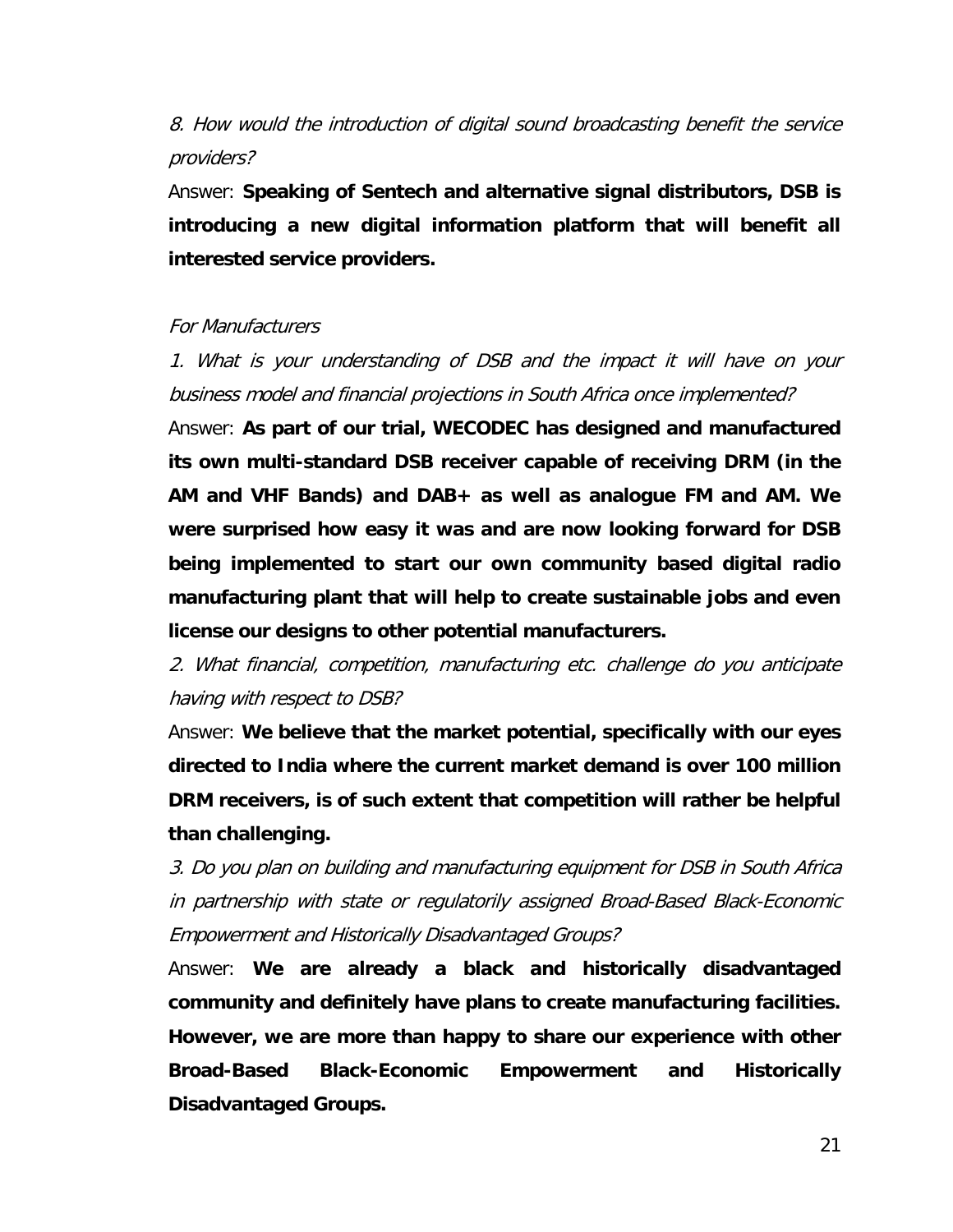8. How would the introduction of digital sound broadcasting benefit the service providers?

Answer: **Speaking of Sentech and alternative signal distributors, DSB is introducing a new digital information platform that will benefit all interested service providers.**

## For Manufacturers

1. What is your understanding of DSB and the impact it will have on your business model and financial projections in South Africa once implemented?

Answer: **As part of our trial, WECODEC has designed and manufactured its own multi-standard DSB receiver capable of receiving DRM (in the AM and VHF Bands) and DAB+ as well as analogue FM and AM. We were surprised how easy it was and are now looking forward for DSB being implemented to start our own community based digital radio manufacturing plant that will help to create sustainable jobs and even license our designs to other potential manufacturers.**

2. What financial, competition, manufacturing etc. challenge do you anticipate having with respect to DSB?

Answer: **We believe that the market potential, specifically with our eyes directed to India where the current market demand is over 100 million DRM receivers, is of such extent that competition will rather be helpful than challenging.**

3. Do you plan on building and manufacturing equipment for DSB in South Africa in partnership with state or regulatorily assigned Broad-Based Black-Economic Empowerment and Historically Disadvantaged Groups?

Answer: **We are already a black and historically disadvantaged community and definitely have plans to create manufacturing facilities. However, we are more than happy to share our experience with other Broad-Based Black-Economic Empowerment and Historically Disadvantaged Groups.**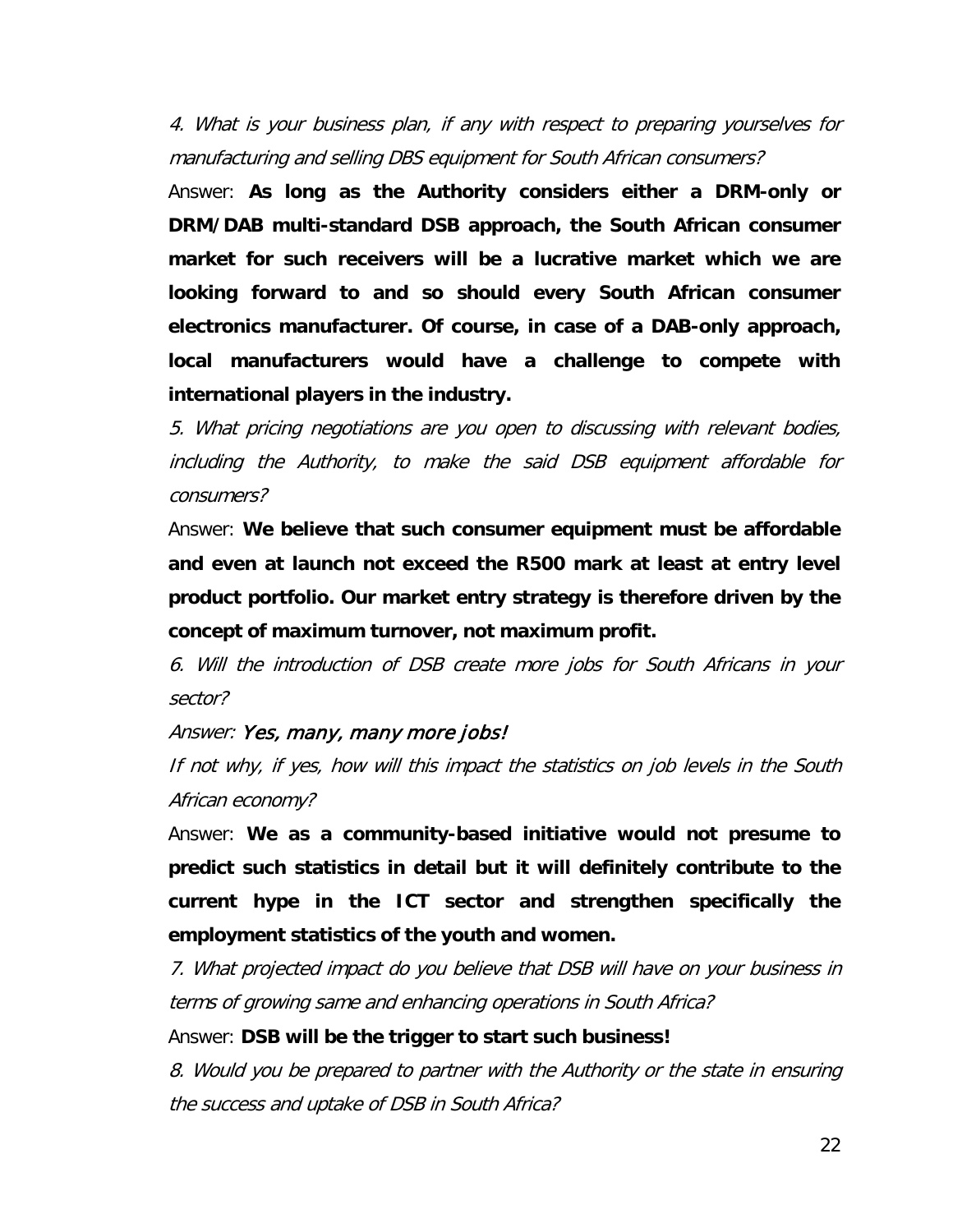4. What is your business plan, if any with respect to preparing yourselves for manufacturing and selling DBS equipment for South African consumers?

Answer: **As long as the Authority considers either a DRM-only or DRM/DAB multi-standard DSB approach, the South African consumer market for such receivers will be a lucrative market which we are looking forward to and so should every South African consumer electronics manufacturer. Of course, in case of a DAB-only approach, local manufacturers would have a challenge to compete with international players in the industry.**

5. What pricing negotiations are you open to discussing with relevant bodies, including the Authority, to make the said DSB equipment affordable for consumers?

Answer: **We believe that such consumer equipment must be affordable and even at launch not exceed the R500 mark at least at entry level product portfolio. Our market entry strategy is therefore driven by the concept of maximum turnover, not maximum profit.**

6. Will the introduction of DSB create more jobs for South Africans in your sector?

#### Answer: Yes, many, many more jobs!

If not why, if yes, how will this impact the statistics on job levels in the South African economy?

Answer: **We as a community-based initiative would not presume to predict such statistics in detail but it will definitely contribute to the current hype in the ICT sector and strengthen specifically the employment statistics of the youth and women.**

7. What projected impact do you believe that DSB will have on your business in terms of growing same and enhancing operations in South Africa?

#### Answer: **DSB will be the trigger to start such business!**

8. Would you be prepared to partner with the Authority or the state in ensuring the success and uptake of DSB in South Africa?